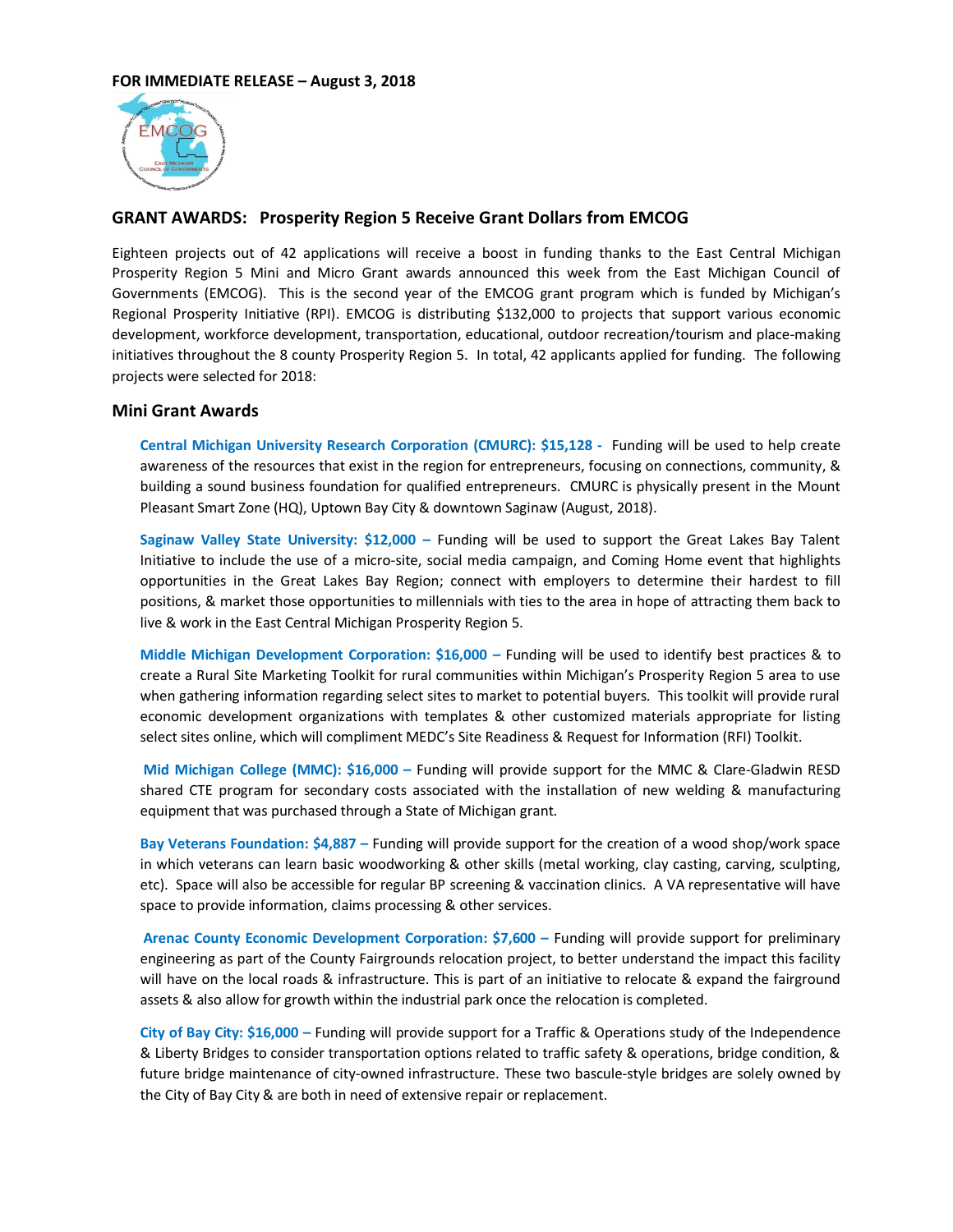

## **GRANT AWARDS: Prosperity Region 5 Receive Grant Dollars from EMCOG**

Eighteen projects out of 42 applications will receive a boost in funding thanks to the East Central Michigan Prosperity Region 5 Mini and Micro Grant awards announced this week from the East Michigan Council of Governments (EMCOG). This is the second year of the EMCOG grant program which is funded by Michigan's Regional Prosperity Initiative (RPI). EMCOG is distributing \$132,000 to projects that support various economic development, workforce development, transportation, educational, outdoor recreation/tourism and place-making initiatives throughout the 8 county Prosperity Region 5. In total, 42 applicants applied for funding. The following projects were selected for 2018:

## **Mini Grant Awards**

**Central Michigan University Research Corporation (CMURC): \$15,128 -** Funding will be used to help create awareness of the resources that exist in the region for entrepreneurs, focusing on connections, community, & building a sound business foundation for qualified entrepreneurs. CMURC is physically present in the Mount Pleasant Smart Zone (HQ), Uptown Bay City & downtown Saginaw (August, 2018).

**Saginaw Valley State University: \$12,000 –** Funding will be used to support the Great Lakes Bay Talent Initiative to include the use of a micro-site, social media campaign, and Coming Home event that highlights opportunities in the Great Lakes Bay Region; connect with employers to determine their hardest to fill positions, & market those opportunities to millennials with ties to the area in hope of attracting them back to live & work in the East Central Michigan Prosperity Region 5.

**Middle Michigan Development Corporation: \$16,000 –** Funding will be used to identify best practices & to create a Rural Site Marketing Toolkit for rural communities within Michigan's Prosperity Region 5 area to use when gathering information regarding select sites to market to potential buyers. This toolkit will provide rural economic development organizations with templates & other customized materials appropriate for listing select sites online, which will compliment MEDC's Site Readiness & Request for Information (RFI) Toolkit.

**Mid Michigan College (MMC): \$16,000 –** Funding will provide support for the MMC & Clare-Gladwin RESD shared CTE program for secondary costs associated with the installation of new welding & manufacturing equipment that was purchased through a State of Michigan grant.

**Bay Veterans Foundation: \$4,887 –** Funding will provide support for the creation of a wood shop/work space in which veterans can learn basic woodworking & other skills (metal working, clay casting, carving, sculpting, etc). Space will also be accessible for regular BP screening & vaccination clinics. A VA representative will have space to provide information, claims processing & other services.

**Arenac County Economic Development Corporation: \$7,600 –** Funding will provide support for preliminary engineering as part of the County Fairgrounds relocation project, to better understand the impact this facility will have on the local roads & infrastructure. This is part of an initiative to relocate & expand the fairground assets & also allow for growth within the industrial park once the relocation is completed.

**City of Bay City: \$16,000 –** Funding will provide support for a Traffic & Operations study of the Independence & Liberty Bridges to consider transportation options related to traffic safety & operations, bridge condition, & future bridge maintenance of city-owned infrastructure. These two bascule-style bridges are solely owned by the City of Bay City & are both in need of extensive repair or replacement.